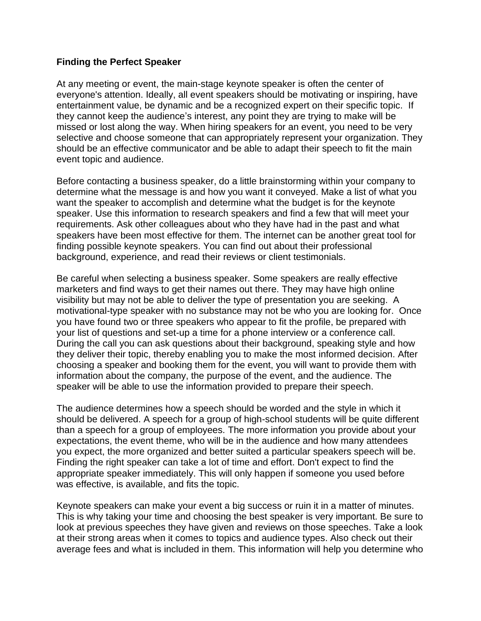## **Finding the Perfect Speaker**

At any meeting or event, the main-stage keynote speaker is often the center of everyone's attention. Ideally, all event speakers should be motivating or inspiring, have entertainment value, be dynamic and be a recognized expert on their specific topic. If they cannot keep the audience's interest, any point they are trying to make will be missed or lost along the way. When hiring speakers for an event, you need to be very selective and choose someone that can appropriately represent your organization. They should be an effective communicator and be able to adapt their speech to fit the main event topic and audience.

Before contacting a business speaker, do a little brainstorming within your company to determine what the message is and how you want it conveyed. Make a list of what you want the speaker to accomplish and determine what the budget is for the keynote speaker. Use this information to research speakers and find a few that will meet your requirements. Ask other colleagues about who they have had in the past and what speakers have been most effective for them. The internet can be another great tool for finding possible keynote speakers. You can find out about their professional background, experience, and read their reviews or client testimonials.

Be careful when selecting a business speaker. Some speakers are really effective marketers and find ways to get their names out there. They may have high online visibility but may not be able to deliver the type of presentation you are seeking. A motivational-type speaker with no substance may not be who you are looking for. Once you have found two or three speakers who appear to fit the profile, be prepared with your list of questions and set-up a time for a phone interview or a conference call. During the call you can ask questions about their background, speaking style and how they deliver their topic, thereby enabling you to make the most informed decision. After choosing a speaker and booking them for the event, you will want to provide them with information about the company, the purpose of the event, and the audience. The speaker will be able to use the information provided to prepare their speech.

The audience determines how a speech should be worded and the style in which it should be delivered. A speech for a group of high-school students will be quite different than a speech for a group of employees. The more information you provide about your expectations, the event theme, who will be in the audience and how many attendees you expect, the more organized and better suited a particular speakers speech will be. Finding the right speaker can take a lot of time and effort. Don't expect to find the appropriate speaker immediately. This will only happen if someone you used before was effective, is available, and fits the topic.

Keynote speakers can make your event a big success or ruin it in a matter of minutes. This is why taking your time and choosing the best speaker is very important. Be sure to look at previous speeches they have given and reviews on those speeches. Take a look at their strong areas when it comes to topics and audience types. Also check out their average fees and what is included in them. This information will help you determine who